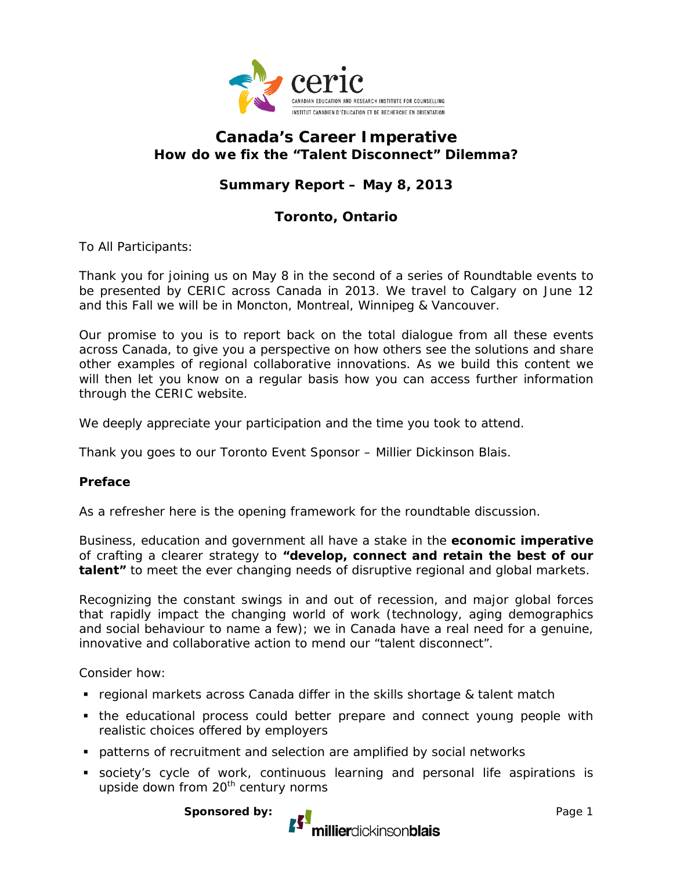

# **Canada's Career Imperative How do we fix the "Talent Disconnect" Dilemma?**

# **Summary Report – May 8, 2013**

## **Toronto, Ontario**

To All Participants:

Thank you for joining us on May 8 in the second of a series of Roundtable events to be presented by CERIC across Canada in 2013. We travel to Calgary on June 12 and this Fall we will be in Moncton, Montreal, Winnipeg & Vancouver.

Our promise to you is to report back on the total dialogue from all these events across Canada, to give you a perspective on how others see the solutions and share other examples of regional collaborative innovations. As we build this content we will then let you know on a regular basis how you can access further information through the CERIC website.

We deeply appreciate your participation and the time you took to attend.

Thank you goes to our Toronto Event Sponsor – Millier Dickinson Blais.

#### **Preface**

As a refresher here is the opening framework for the roundtable discussion.

Business, education and government all have a stake in the **economic imperative**  of crafting a clearer strategy to **"develop, connect and retain the best of our talent"** to meet the ever changing needs of disruptive regional and global markets.

Recognizing the constant swings in and out of recession, and major global forces that rapidly impact the changing world of work (technology, aging demographics and social behaviour to name a few); we in Canada have a real need for a genuine, innovative and collaborative action to mend our "talent disconnect".

Consider how:

- regional markets across Canada differ in the skills shortage & talent match
- the educational process could better prepare and connect young people with realistic choices offered by employers
- patterns of recruitment and selection are amplified by social networks
- society's cycle of work, continuous learning and personal life aspirations is upside down from 20<sup>th</sup> century norms

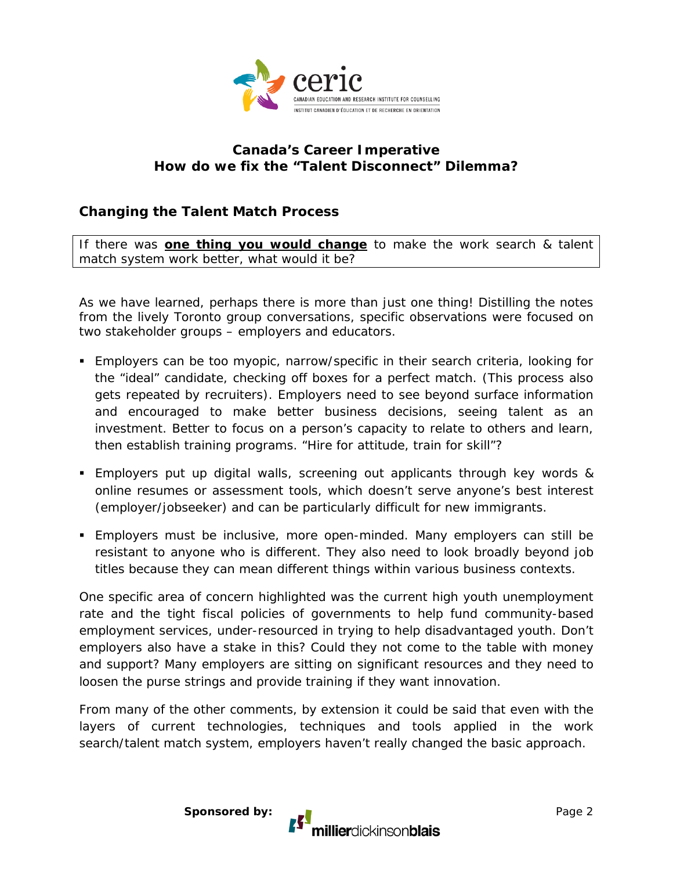

## **Canada's Career Imperative How do we fix the "Talent Disconnect" Dilemma?**

# **Changing the Talent Match Process**

If there was **one thing you would change** to make the work search & talent match system work better, what would it be?

As we have learned, perhaps there is more than just one thing! Distilling the notes from the lively Toronto group conversations, specific observations were focused on two stakeholder groups – employers and educators.

- Employers can be too myopic, narrow/specific in their search criteria, looking for the "ideal" candidate, checking off boxes for a perfect match. (This process also gets repeated by recruiters). Employers need to see beyond surface information and encouraged to make better business decisions, seeing talent as an investment. Better to focus on a person's capacity to relate to others and learn, then establish training programs. "Hire for attitude, train for skill"?
- Employers put up digital walls, screening out applicants through key words & online resumes or assessment tools, which doesn't serve anyone's best interest (employer/jobseeker) and can be particularly difficult for new immigrants.
- Employers must be inclusive, more open-minded. Many employers can still be resistant to anyone who is different. They also need to look broadly beyond job titles because they can mean different things within various business contexts.

One specific area of concern highlighted was the current high youth unemployment rate and the tight fiscal policies of governments to help fund community-based employment services, under-resourced in trying to help disadvantaged youth. Don't employers also have a stake in this? Could they not come to the table with money and support? Many employers are sitting on significant resources and they need to loosen the purse strings and provide training if they want innovation.

From many of the other comments, by extension it could be said that even with the layers of current technologies, techniques and tools applied in the work search/talent match system, employers haven't really changed the basic approach.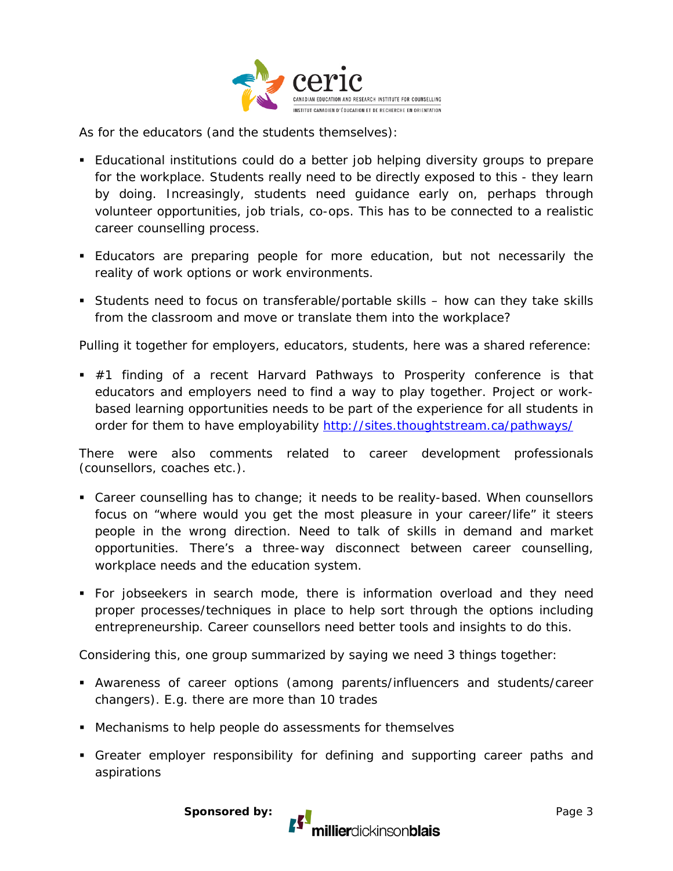

As for the educators (and the students themselves):

- Educational institutions could do a better job helping diversity groups to prepare for the workplace. Students really need to be directly exposed to this - they learn by doing. Increasingly, students need guidance early on, perhaps through volunteer opportunities, job trials, co-ops. This has to be connected to a realistic career counselling process.
- Educators are preparing people for more education, but not necessarily the reality of work options or work environments.
- Students need to focus on transferable/portable skills how can they take skills from the classroom and move or translate them into the workplace?

Pulling it together for employers, educators, students, here was a shared reference:

 $\blacksquare$  #1 finding of a recent Harvard Pathways to Prosperity conference is that educators and employers need to find a way to play together. Project or workbased learning opportunities needs to be part of the experience for all students in order for them to have employability<http://sites.thoughtstream.ca/pathways/>

There were also comments related to career development professionals (counsellors, coaches etc.).

- Career counselling has to change; it needs to be reality-based. When counsellors focus on "where would you get the most pleasure in your career/life" it steers people in the wrong direction. Need to talk of skills in demand and market opportunities. There's a three-way disconnect between career counselling, workplace needs and the education system.
- For jobseekers in search mode, there is information overload and they need proper processes/techniques in place to help sort through the options including entrepreneurship. Career counsellors need better tools and insights to do this.

Considering this, one group summarized by saying we need 3 things together:

- Awareness of career options (among parents/influencers and students/career changers). E.g. there are more than 10 trades
- Mechanisms to help people do assessments for themselves
- Greater employer responsibility for defining and supporting career paths and aspirations

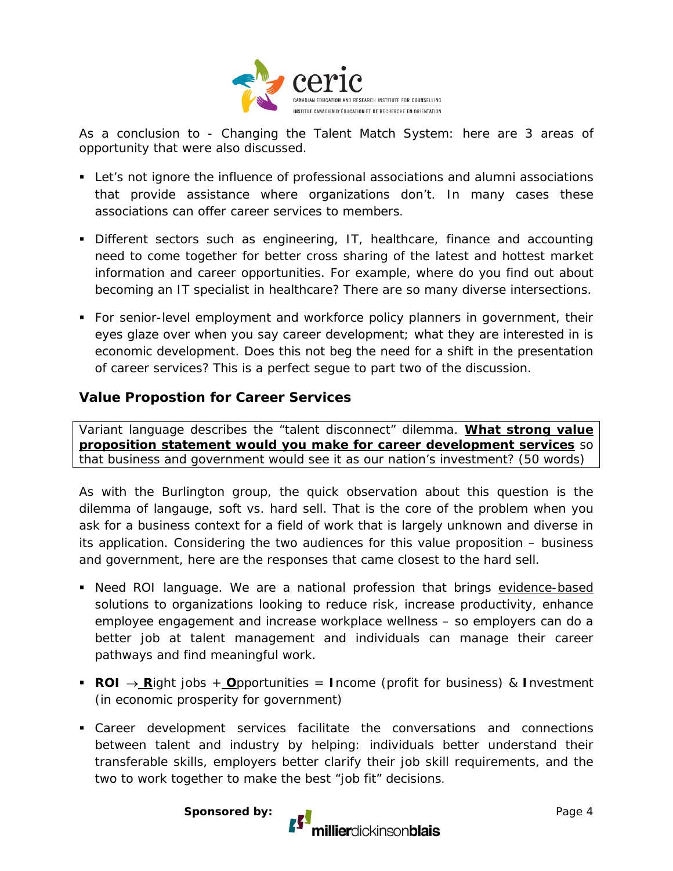

As a conclusion to - Changing the Talent Match System: here are 3 areas of opportunity that were also discussed.

- Let's not ignore the influence of professional associations and alumni associations that provide assistance where organizations don't. In many cases these associations can offer career services to members.
- Different sectors such as engineering, IT, healthcare, finance and accounting need to come together for better cross sharing of the latest and hottest market information and career opportunities. For example, where do you find out about becoming an IT specialist in healthcare? There are so many diverse intersections.
- For senior-level employment and workforce policy planners in government, their eyes glaze over when you say career development; what they are interested in is economic development. Does this not beg the need for a shift in the presentation of career services? This is a perfect segue to part two of the discussion.

#### **Value Propostion for Career Services**

Variant language describes the "talent disconnect" dilemma. **What strong value proposition statement would you make for career development services** so that business and government would see it as our nation's investment? (50 words)

As with the Burlington group, the quick observation about this question is the dilemma of langauge, soft vs. hard sell. That is the core of the problem when you ask for a business context for a field of work that is largely unknown and diverse in its application. Considering the two audiences for this value proposition – business and government, here are the responses that came closest to the hard sell.

- Need ROI language. We are a national profession that brings evidence-based solutions to organizations looking to reduce risk, increase productivity, enhance employee engagement and increase workplace wellness – so employers can do a better job at talent management and individuals can manage their career pathways and find meaningful work.
- **ROI** → **R**ight jobs + **O**pportunities = **I**ncome (profit for business) & **I**nvestment (in economic prosperity for government)
- Career development services facilitate the conversations and connections between talent and industry by helping: individuals better understand their transferable skills, employers better clarify their job skill requirements, and the two to work together to make the best "job fit" decisions.

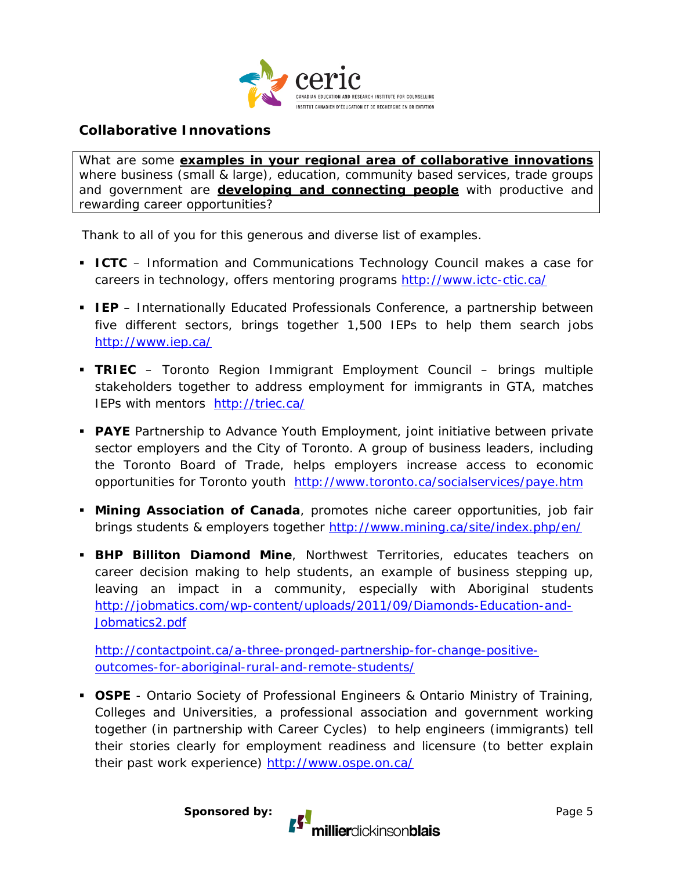

### **Collaborative Innovations**

What are some **examples in your regional area of collaborative innovations** where business (small & large), education, community based services, trade groups and government are **developing and connecting people** with productive and rewarding career opportunities?

Thank to all of you for this generous and diverse list of examples.

- **ICTC** Information and Communications Technology Council makes a case for careers in technology, offers mentoring programs<http://www.ictc-ctic.ca/>
- **IEP** Internationally Educated Professionals Conference, a partnership between five different sectors, brings together 1,500 IEPs to help them search jobs <http://www.iep.ca/>
- **TRIEC** Toronto Region Immigrant Employment Council brings multiple stakeholders together to address employment for immigrants in GTA, matches IEPs with mentors <http://triec.ca/>
- **PAYE** Partnership to Advance Youth Employment, joint initiative between private sector employers and the City of Toronto. A group of business leaders, including the Toronto Board of Trade, helps employers increase access to economic opportunities for Toronto youth <http://www.toronto.ca/socialservices/paye.htm>
- **Mining Association of Canada**, promotes niche career opportunities, job fair brings students & employers together<http://www.mining.ca/site/index.php/en/>
- **BHP Billiton Diamond Mine**, Northwest Territories, educates teachers on career decision making to help students, an example of business stepping up, leaving an impact in a community, especially with Aboriginal students [http://jobmatics.com/wp-content/uploads/2011/09/Diamonds-Education-and-](http://jobmatics.com/wp-content/uploads/2011/09/Diamonds-Education-and-Jobmatics2.pdf)[Jobmatics2.pdf](http://jobmatics.com/wp-content/uploads/2011/09/Diamonds-Education-and-Jobmatics2.pdf)

[http://contactpoint.ca/a-three-pronged-partnership-for-change-positive](http://contactpoint.ca/a-three-pronged-partnership-for-change-positive-outcomes-for-aboriginal-rural-and-remote-students/)[outcomes-for-aboriginal-rural-and-remote-students/](http://contactpoint.ca/a-three-pronged-partnership-for-change-positive-outcomes-for-aboriginal-rural-and-remote-students/)

 **OSPE** - Ontario Society of Professional Engineers & Ontario Ministry of Training, Colleges and Universities, a professional association and government working together (in partnership with Career Cycles) to help engineers (immigrants) tell their stories clearly for employment readiness and licensure (to better explain their past work experience)<http://www.ospe.on.ca/>